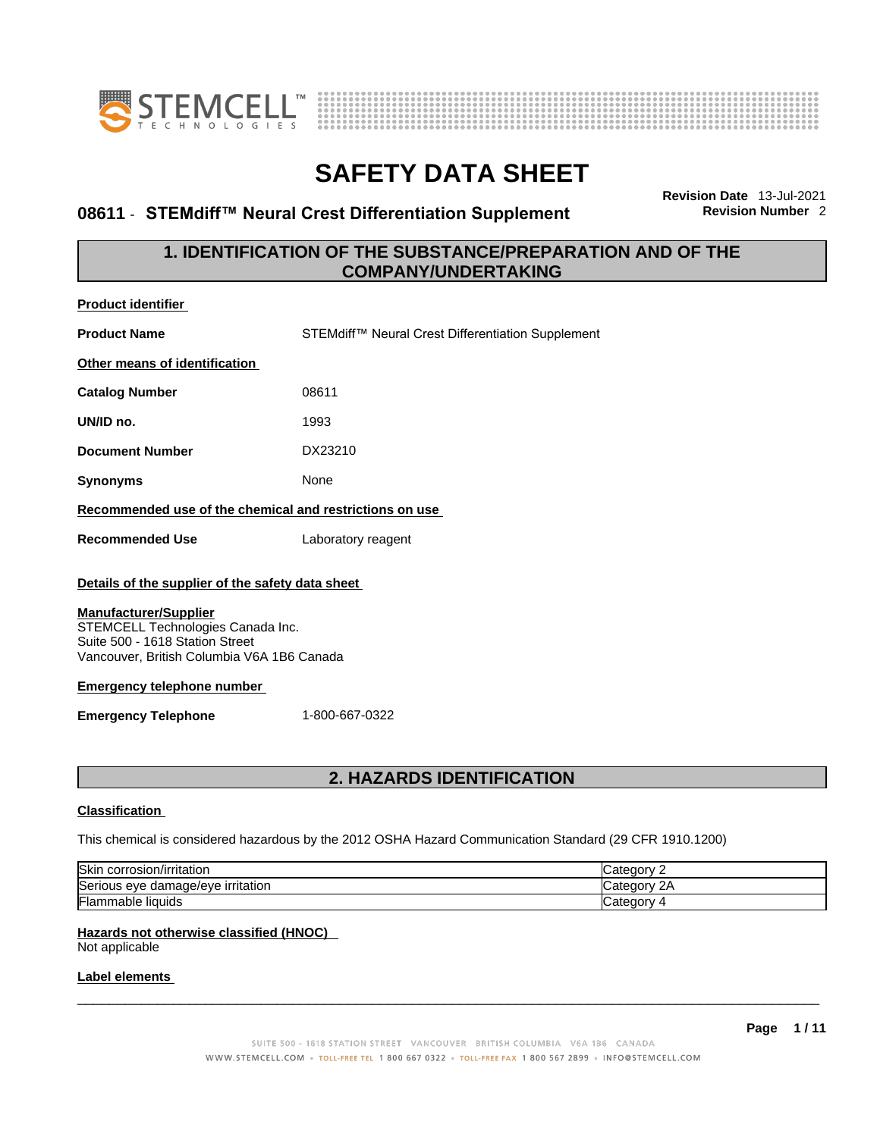



# **08611 · STEMdiff™ Neural Crest Differentiation Supplement**

**Revision Date** 13-Jul-2021

# **1. IDENTIFICATION OF THE SUBSTANCE/PREPARATION AND OF THE COMPANY/UNDERTAKING**

| <b>Product identifier</b>                                                                                                                                                                                                                                                                   |                                                   |  |  |  |
|---------------------------------------------------------------------------------------------------------------------------------------------------------------------------------------------------------------------------------------------------------------------------------------------|---------------------------------------------------|--|--|--|
| <b>Product Name</b>                                                                                                                                                                                                                                                                         | STEMdiff™ Neural Crest Differentiation Supplement |  |  |  |
| Other means of identification                                                                                                                                                                                                                                                               |                                                   |  |  |  |
| <b>Catalog Number</b>                                                                                                                                                                                                                                                                       | 08611                                             |  |  |  |
| UN/ID no.                                                                                                                                                                                                                                                                                   | 1993                                              |  |  |  |
| <b>Document Number</b>                                                                                                                                                                                                                                                                      | DX23210                                           |  |  |  |
| <b>Synonyms</b>                                                                                                                                                                                                                                                                             | None                                              |  |  |  |
| Recommended use of the chemical and restrictions on use                                                                                                                                                                                                                                     |                                                   |  |  |  |
| <b>Recommended Use</b>                                                                                                                                                                                                                                                                      | Laboratory reagent                                |  |  |  |
| Details of the supplier of the safety data sheet<br><b>Manufacturer/Supplier</b><br>STEMCELL Technologies Canada Inc.<br>Suite 500 - 1618 Station Street<br>Vancouver, British Columbia V6A 1B6 Canada<br><b>Emergency telephone number</b><br><b>Emergency Telephone</b><br>1-800-667-0322 |                                                   |  |  |  |
|                                                                                                                                                                                                                                                                                             | <b>2. HAZARDS IDENTIFICATION</b>                  |  |  |  |
|                                                                                                                                                                                                                                                                                             |                                                   |  |  |  |

## **Classification**

This chemical is considered hazardous by the 2012 OSHA Hazard Communication Standard (29 CFR 1910.1200)

| Skin<br>corrosion/irritation                 | ategory.                 |
|----------------------------------------------|--------------------------|
| Seriou<br>irritation<br>damade/eve<br>us eve | `ategorv .<br>$\sqrt{2}$ |
| Flam.<br>nmable liquids                      | <i>- اس</i> ⊲tegorv      |

## **Hazards not otherwise classified (HNOC)**

Not applicable

## **Label elements**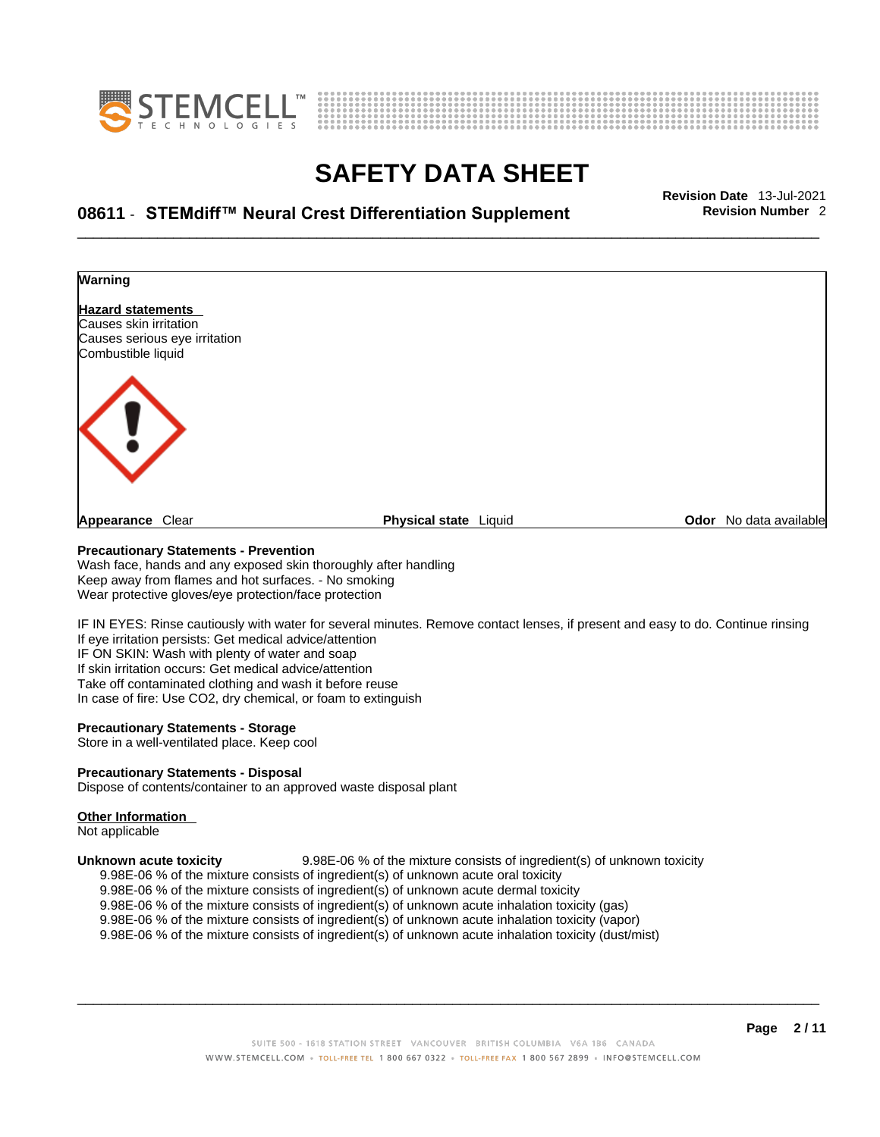



# \_\_\_\_\_\_\_\_\_\_\_\_\_\_\_\_\_\_\_\_\_\_\_\_\_\_\_\_\_\_\_\_\_\_\_\_\_\_\_\_\_\_\_\_\_\_\_\_\_\_\_\_\_\_\_\_\_\_\_\_\_\_\_\_\_\_\_\_\_\_\_\_\_\_\_\_\_\_\_\_\_\_\_\_\_\_\_\_\_\_\_\_\_ **Revision Date** 13-Jul-2021 **08611** - **STEMdiff™ Neural Crest Differentiation Supplement Revision Number** 2



### **Precautionary Statements - Prevention**

Wash face, hands and any exposed skin thoroughly after handling Keep away from flames and hot surfaces. - No smoking Wear protective gloves/eye protection/face protection

IF IN EYES: Rinse cautiously with water for several minutes. Remove contact lenses, if present and easy to do. Continue rinsing If eye irritation persists: Get medical advice/attention IF ON SKIN: Wash with plenty of water and soap If skin irritation occurs: Get medical advice/attention Take off contaminated clothing and wash it before reuse In case of fire: Use CO2, dry chemical, or foam to extinguish

## **Precautionary Statements - Storage**

Store in a well-ventilated place. Keep cool

## **Precautionary Statements - Disposal**

Dispose of contents/container to an approved waste disposal plant

### **Other Information**

Not applicable

**Unknown acute toxicity** 9.98E-06 % of the mixture consists of ingredient(s) of unknown toxicity 9.98E-06 % of the mixture consists of ingredient(s) of unknown acute oral toxicity

- $9.98E-06$  % of the mixture consists of ingredient(s) of unknown acute dermal toxicity
- 
- 9.98E-06 % of the mixture consists of ingredient(s) of unknown acute inhalation toxicity (gas)
- 9.98E-06 % of the mixture consists of ingredient(s) of unknown acute inhalation toxicity (vapor)

9.98E-06 % of the mixture consists of ingredient(s) of unknown acute inhalation toxicity (dust/mist)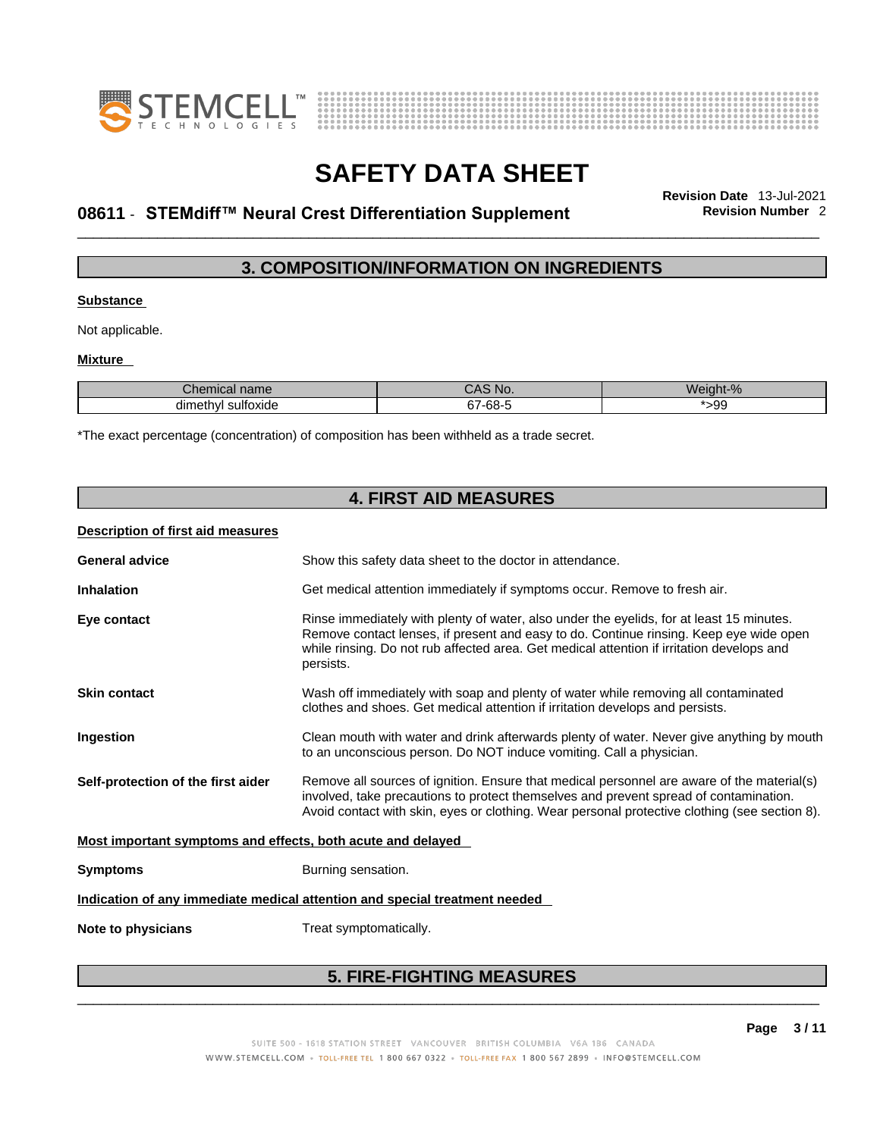



# \_\_\_\_\_\_\_\_\_\_\_\_\_\_\_\_\_\_\_\_\_\_\_\_\_\_\_\_\_\_\_\_\_\_\_\_\_\_\_\_\_\_\_\_\_\_\_\_\_\_\_\_\_\_\_\_\_\_\_\_\_\_\_\_\_\_\_\_\_\_\_\_\_\_\_\_\_\_\_\_\_\_\_\_\_\_\_\_\_\_\_\_\_ **Revision Date** 13-Jul-2021 **08611** - **STEMdiff™ Neural Crest Differentiation Supplement Revision Number** 2

# **3. COMPOSITION/INFORMATION ON INGREDIENTS**

## **Substance**

Not applicable.

## **Mixture**

| າເcal name<br>--<br>$\cdots$ | S NO.<br>UAO                | Weight-%  |
|------------------------------|-----------------------------|-----------|
| sultoxide<br>dimethyl        | cο.<br>~-<br>. .<br>ა7-ხŏ-″ | റ<br>ت ت∼ |

\*The exact percentage (concentration) of composition has been withheld as a trade secret.

|                                                             | <b>4. FIRST AID MEASURES</b>                                                                                                                                                                                                                                                                 |  |  |
|-------------------------------------------------------------|----------------------------------------------------------------------------------------------------------------------------------------------------------------------------------------------------------------------------------------------------------------------------------------------|--|--|
| Description of first aid measures                           |                                                                                                                                                                                                                                                                                              |  |  |
| <b>General advice</b>                                       | Show this safety data sheet to the doctor in attendance.                                                                                                                                                                                                                                     |  |  |
| <b>Inhalation</b>                                           | Get medical attention immediately if symptoms occur. Remove to fresh air.                                                                                                                                                                                                                    |  |  |
| Eye contact                                                 | Rinse immediately with plenty of water, also under the eyelids, for at least 15 minutes.<br>Remove contact lenses, if present and easy to do. Continue rinsing. Keep eye wide open<br>while rinsing. Do not rub affected area. Get medical attention if irritation develops and<br>persists. |  |  |
| <b>Skin contact</b>                                         | Wash off immediately with soap and plenty of water while removing all contaminated<br>clothes and shoes. Get medical attention if irritation develops and persists.                                                                                                                          |  |  |
| Ingestion                                                   | Clean mouth with water and drink afterwards plenty of water. Never give anything by mouth<br>to an unconscious person. Do NOT induce vomiting. Call a physician.                                                                                                                             |  |  |
| Self-protection of the first aider                          | Remove all sources of ignition. Ensure that medical personnel are aware of the material(s)<br>involved, take precautions to protect themselves and prevent spread of contamination.<br>Avoid contact with skin, eyes or clothing. Wear personal protective clothing (see section 8).         |  |  |
| Most important symptoms and effects, both acute and delayed |                                                                                                                                                                                                                                                                                              |  |  |
| <b>Symptoms</b>                                             | Burning sensation.                                                                                                                                                                                                                                                                           |  |  |
|                                                             | Indication of any immediate medical attention and special treatment needed                                                                                                                                                                                                                   |  |  |
| Note to physicians                                          | Treat symptomatically.                                                                                                                                                                                                                                                                       |  |  |
|                                                             |                                                                                                                                                                                                                                                                                              |  |  |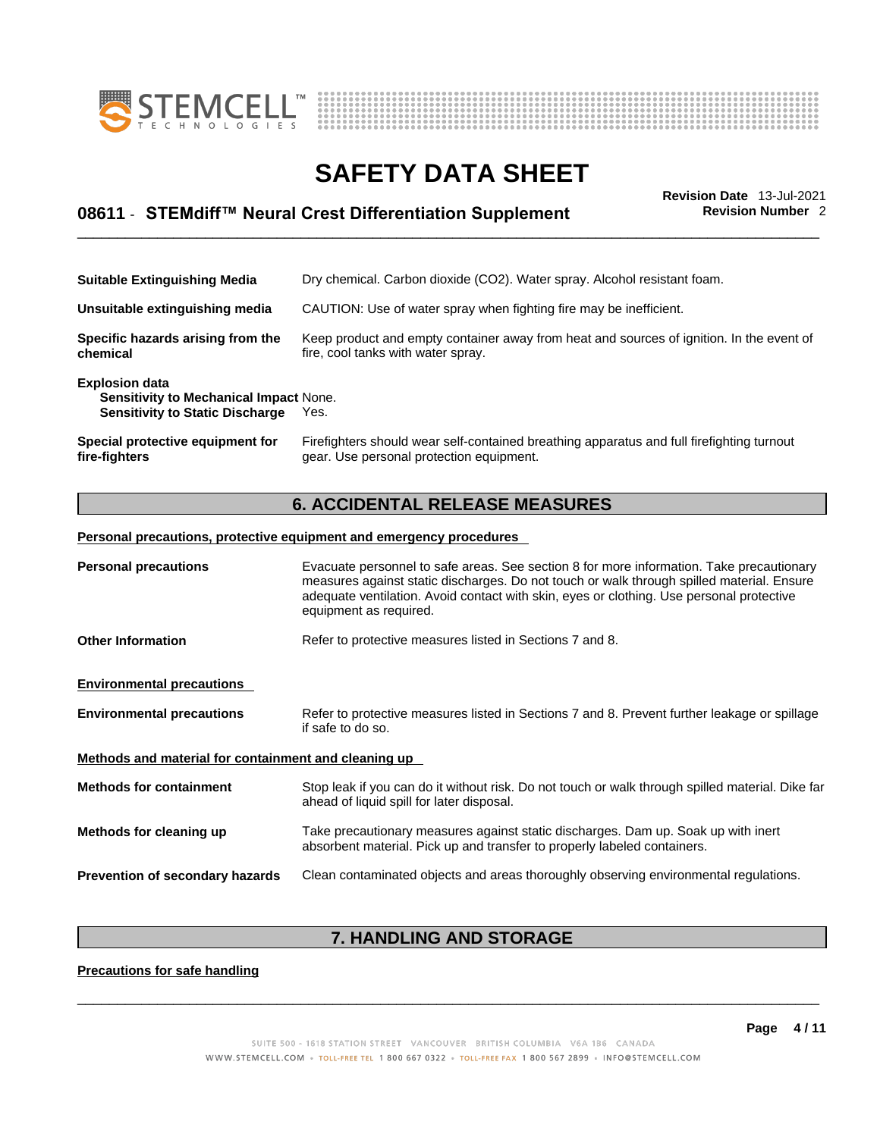



# \_\_\_\_\_\_\_\_\_\_\_\_\_\_\_\_\_\_\_\_\_\_\_\_\_\_\_\_\_\_\_\_\_\_\_\_\_\_\_\_\_\_\_\_\_\_\_\_\_\_\_\_\_\_\_\_\_\_\_\_\_\_\_\_\_\_\_\_\_\_\_\_\_\_\_\_\_\_\_\_\_\_\_\_\_\_\_\_\_\_\_\_\_ **Revision Date** 13-Jul-2021 **08611** - **STEMdiff™ Neural Crest Differentiation Supplement Revision Number** 2

| <b>Suitable Extinguishing Media</b>                                                                              | Dry chemical. Carbon dioxide (CO2). Water spray. Alcohol resistant foam.                                                              |
|------------------------------------------------------------------------------------------------------------------|---------------------------------------------------------------------------------------------------------------------------------------|
| Unsuitable extinguishing media                                                                                   | CAUTION: Use of water spray when fighting fire may be inefficient.                                                                    |
| Specific hazards arising from the<br>chemical                                                                    | Keep product and empty container away from heat and sources of ignition. In the event of<br>fire, cool tanks with water spray.        |
| <b>Explosion data</b><br><b>Sensitivity to Mechanical Impact None.</b><br><b>Sensitivity to Static Discharge</b> | Yes.                                                                                                                                  |
| Special protective equipment for<br>fire-fighters                                                                | Firefighters should wear self-contained breathing apparatus and full firefighting turnout<br>gear. Use personal protection equipment. |

# **6. ACCIDENTAL RELEASE MEASURES**

## **Personal precautions, protective equipment and emergency procedures**

| <b>Personal precautions</b>                          | Evacuate personnel to safe areas. See section 8 for more information. Take precautionary<br>measures against static discharges. Do not touch or walk through spilled material. Ensure<br>adequate ventilation. Avoid contact with skin, eyes or clothing. Use personal protective<br>equipment as required. |  |
|------------------------------------------------------|-------------------------------------------------------------------------------------------------------------------------------------------------------------------------------------------------------------------------------------------------------------------------------------------------------------|--|
| <b>Other Information</b>                             | Refer to protective measures listed in Sections 7 and 8.                                                                                                                                                                                                                                                    |  |
| <b>Environmental precautions</b>                     |                                                                                                                                                                                                                                                                                                             |  |
| <b>Environmental precautions</b>                     | Refer to protective measures listed in Sections 7 and 8. Prevent further leakage or spillage<br>if safe to do so.                                                                                                                                                                                           |  |
| Methods and material for containment and cleaning up |                                                                                                                                                                                                                                                                                                             |  |
| <b>Methods for containment</b>                       | Stop leak if you can do it without risk. Do not touch or walk through spilled material. Dike far<br>ahead of liquid spill for later disposal.                                                                                                                                                               |  |
| Methods for cleaning up                              | Take precautionary measures against static discharges. Dam up. Soak up with inert<br>absorbent material. Pick up and transfer to properly labeled containers.                                                                                                                                               |  |
| Prevention of secondary hazards                      | Clean contaminated objects and areas thoroughly observing environmental regulations.                                                                                                                                                                                                                        |  |

# **7. HANDLING AND STORAGE**

**Precautions for safe handling**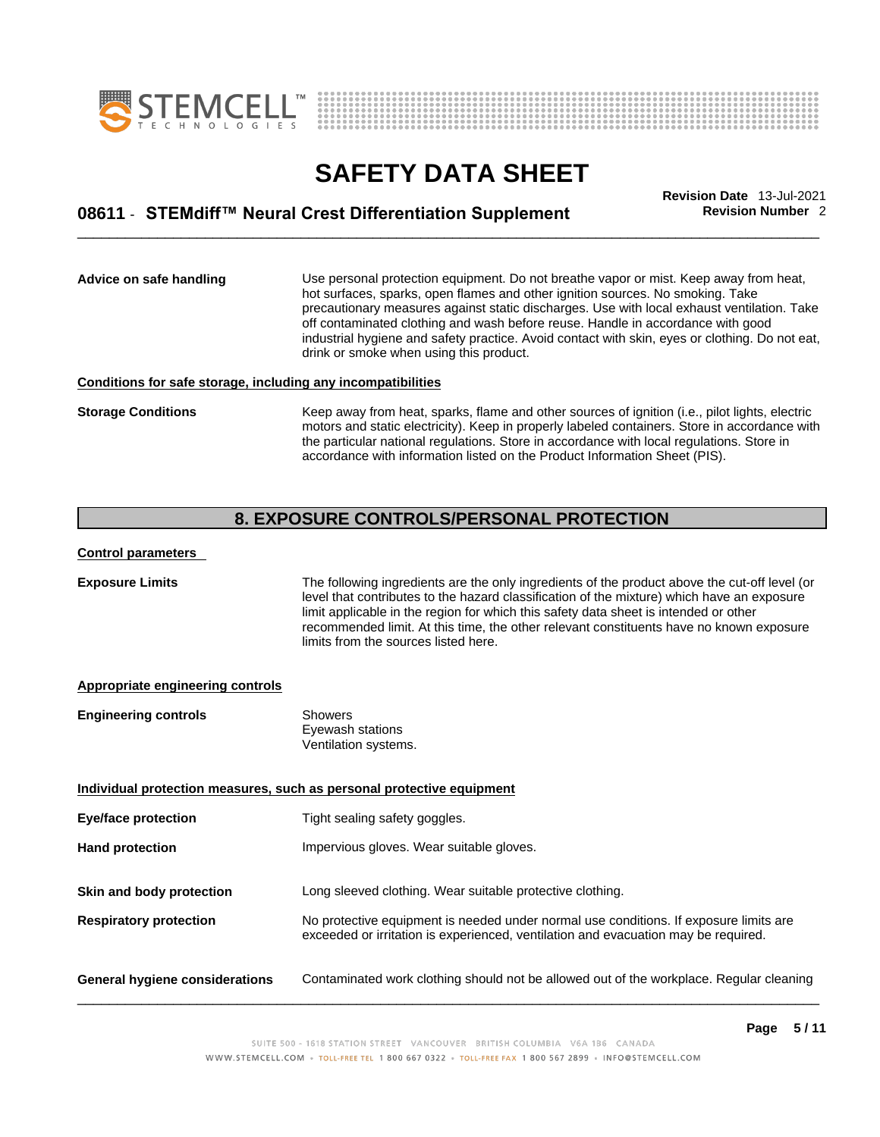



# \_\_\_\_\_\_\_\_\_\_\_\_\_\_\_\_\_\_\_\_\_\_\_\_\_\_\_\_\_\_\_\_\_\_\_\_\_\_\_\_\_\_\_\_\_\_\_\_\_\_\_\_\_\_\_\_\_\_\_\_\_\_\_\_\_\_\_\_\_\_\_\_\_\_\_\_\_\_\_\_\_\_\_\_\_\_\_\_\_\_\_\_\_ **Revision Date** 13-Jul-2021 **08611** - **STEMdiff™ Neural Crest Differentiation Supplement Revision Number** 2

**Advice on safe handling** Use personal protection equipment.Do not breathe vapor or mist. Keep away from heat, hot surfaces, sparks, open flames and other ignition sources. No smoking. Take precautionary measures against static discharges. Use with local exhaust ventilation. Take off contaminated clothing and wash before reuse. Handle in accordance with good industrial hygiene and safety practice. Avoid contact with skin, eyes or clothing. Do not eat, drink or smoke when using this product.

## **Conditions for safe storage, including any incompatibilities**

**Storage Conditions** Keep away from heat, sparks, flame and other sources of ignition (i.e., pilot lights, electric motors and static electricity). Keep in properly labeled containers. Store in accordance with the particular national regulations. Store in accordance with local regulations. Store in accordance with information listed on the Product Information Sheet (PIS).

## **8. EXPOSURE CONTROLS/PERSONAL PROTECTION**

## **Control parameters**

**Exposure Limits** The following ingredients are the only ingredients of the product above the cut-off level (or level that contributes to the hazard classification of the mixture) which have an exposure limit applicable in the region for which this safety data sheet is intended or other recommended limit. At this time, the other relevant constituents have no known exposure limits from the sources listed here.

### **Appropriate engineering controls**

| <b>Engineering controls</b> | Showers              |  |
|-----------------------------|----------------------|--|
|                             | Eyewash stations     |  |
|                             | Ventilation systems. |  |

**Individual protection measures, such as personal protective equipment Eye/face protection** Tight sealing safety goggles. **Hand protection Impervious gloves. Wear suitable gloves. Skin and body protection** Long sleeved clothing. Wear suitable protective clothing. **Respiratory protection** No protective equipment is needed under normal use conditions. If exposure limits are exceeded or irritation is experienced, ventilation and evacuation may be required. **General hygiene considerations** Contaminated work clothing should not be allowed outof the workplace. Regular cleaning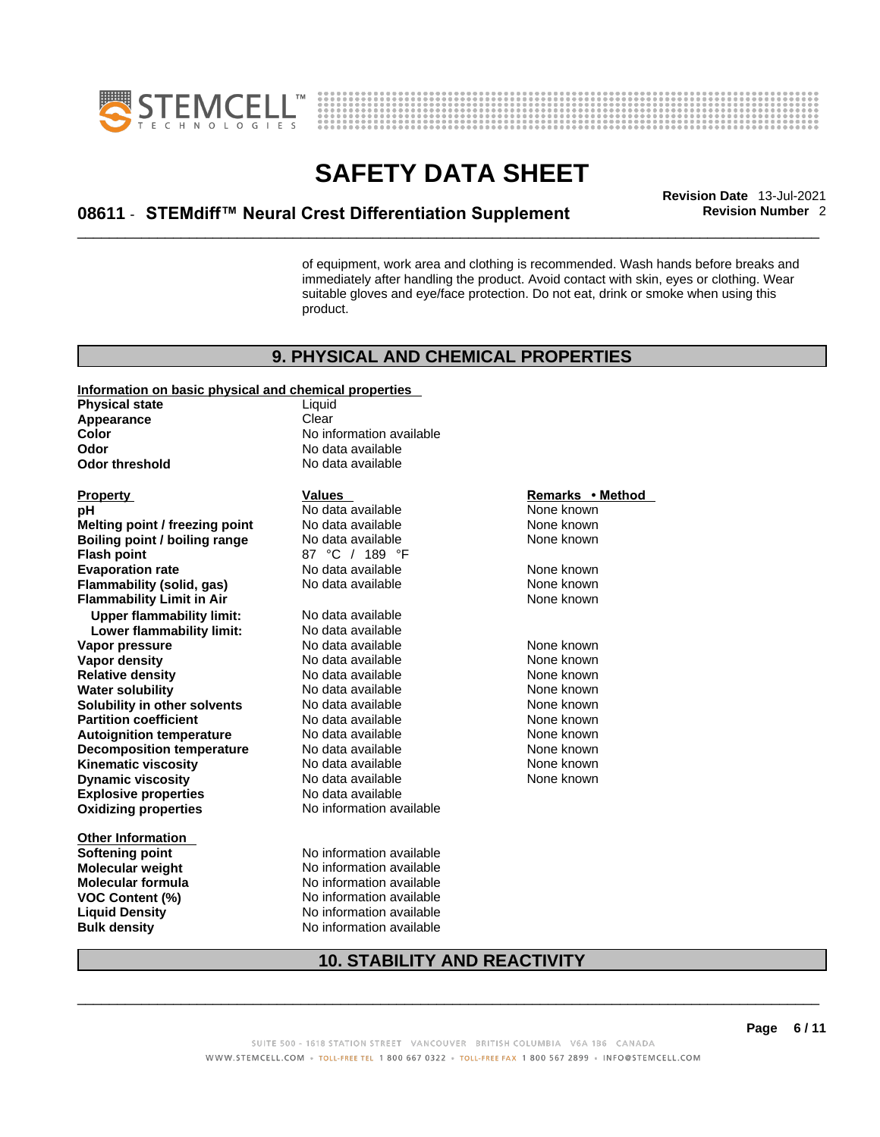



# \_\_\_\_\_\_\_\_\_\_\_\_\_\_\_\_\_\_\_\_\_\_\_\_\_\_\_\_\_\_\_\_\_\_\_\_\_\_\_\_\_\_\_\_\_\_\_\_\_\_\_\_\_\_\_\_\_\_\_\_\_\_\_\_\_\_\_\_\_\_\_\_\_\_\_\_\_\_\_\_\_\_\_\_\_\_\_\_\_\_\_\_\_ **Revision Date** 13-Jul-2021 **08611** - **STEMdiff™ Neural Crest Differentiation Supplement Revision Number** 2

of equipment, work area and clothing is recommended. Wash hands before breaks and immediately after handling the product. Avoid contact with skin, eyes or clothing. Wear suitable gloves and eye/face protection. Do not eat, drink or smoke when using this product.

## **9. PHYSICAL AND CHEMICAL PROPERTIES**

### **Information on basic physical and chemical properties**

**Physical state** Liquid<br> **Appearance** Clear **Appearance Color Color Color Color Color Color Color No** data available **Odor Odor threshold** No data available

**Explosive properties**<br> **Oxidizing properties**<br> **Oxidizing properties**<br> **No information available Oxidizing properties Property Construction Construction Construction Values Method Property Remarks • Method pH and Mone Known Melting point / freezing point** No data available None known<br> **Boiling point / boiling range** No data available None known **Boiling point / boiling range Flash point COLLET 189 °C** / 189 °F<br> **Evaporation rate No data available Evaporation rate Conservential School** None and None known<br> **Flammability (solid. gas)** No data available **None known** None known **Flammability (solid, gas)** No data available None known<br> **Flammability Limit in Air** None Known **Flammability Limit in Air Upper flammability limit:** No data available **Lower flammability limit:** No data available **Vapor pressure** 1980 Control No data available 1980 None known<br> **Vapor density** 1980 No data available 1980 None known **Vapor density Relative density No data available None known Water solubility** No data available None known **Solubility in other solvents** No data available None known<br> **Partition coefficient** No data available None known **Partition coefficient**<br> **Autoignition temperature**<br>
No data available None None known<br>
None known **Autoignition temperature** No data available<br> **Decomposition temperature** No data available **Decomposition temperature** No data available None None known **Kinematic viscosity No data available None known Dynamic viscosity** No data available

**Other Information Bulk density No information available** 

**Odor** No data available

**Prodata available None known None known**<br>No data available None known

**Softening point** No information available **Molecular weight** No information available **Molecular formula** No information available **VOC Content (%)** No information available **Liquid Density** No information available

None known

## **10. STABILITY AND REACTIVITY**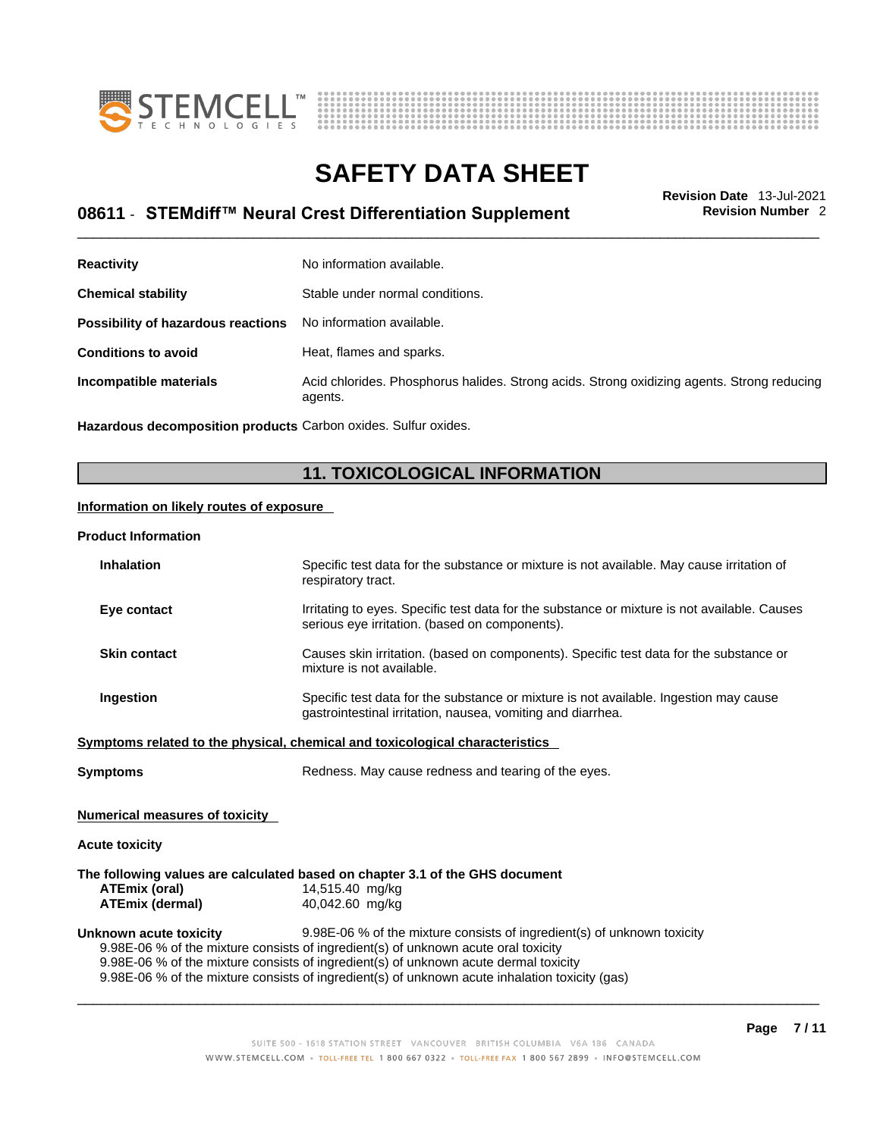



# \_\_\_\_\_\_\_\_\_\_\_\_\_\_\_\_\_\_\_\_\_\_\_\_\_\_\_\_\_\_\_\_\_\_\_\_\_\_\_\_\_\_\_\_\_\_\_\_\_\_\_\_\_\_\_\_\_\_\_\_\_\_\_\_\_\_\_\_\_\_\_\_\_\_\_\_\_\_\_\_\_\_\_\_\_\_\_\_\_\_\_\_\_ **Revision Date** 13-Jul-2021 **08611** - **STEMdiff™ Neural Crest Differentiation Supplement Revision Number** 2

| No information available.                                                                             |
|-------------------------------------------------------------------------------------------------------|
| Stable under normal conditions.                                                                       |
| No information available.                                                                             |
| Heat, flames and sparks.                                                                              |
| Acid chlorides. Phosphorus halides. Strong acids. Strong oxidizing agents. Strong reducing<br>agents. |
|                                                                                                       |

**Hazardous decomposition products** Carbon oxides. Sulfur oxides.

# **11. TOXICOLOGICAL INFORMATION**

## **Information on likely routes of exposure**

### **Product Information**

| <b>Inhalation</b>                                                                    | Specific test data for the substance or mixture is not available. May cause irritation of<br>respiratory tract.                                      |  |  |  |
|--------------------------------------------------------------------------------------|------------------------------------------------------------------------------------------------------------------------------------------------------|--|--|--|
| Eye contact                                                                          | Irritating to eyes. Specific test data for the substance or mixture is not available. Causes<br>serious eye irritation. (based on components).       |  |  |  |
| <b>Skin contact</b>                                                                  | Causes skin irritation. (based on components). Specific test data for the substance or<br>mixture is not available.                                  |  |  |  |
| <b>Ingestion</b>                                                                     | Specific test data for the substance or mixture is not available. Ingestion may cause<br>gastrointestinal irritation, nausea, vomiting and diarrhea. |  |  |  |
|                                                                                      | Symptoms related to the physical, chemical and toxicological characteristics                                                                         |  |  |  |
| <b>Symptoms</b>                                                                      | Redness. May cause redness and tearing of the eyes.                                                                                                  |  |  |  |
| <b>Numerical measures of toxicity</b>                                                |                                                                                                                                                      |  |  |  |
| <b>Acute toxicity</b>                                                                |                                                                                                                                                      |  |  |  |
|                                                                                      | The following values are calculated based on chapter 3.1 of the GHS document                                                                         |  |  |  |
| ATEmix (oral)                                                                        | 14,515.40 mg/kg                                                                                                                                      |  |  |  |
| ATEmix (dermal)                                                                      | 40,042.60 mg/kg                                                                                                                                      |  |  |  |
| Unknown acute toxicity                                                               | 9.98E-06 % of the mixture consists of ingredient(s) of unknown toxicity                                                                              |  |  |  |
|                                                                                      | 9.98E-06 % of the mixture consists of ingredient(s) of unknown acute oral toxicity                                                                   |  |  |  |
| 9.98E-06 % of the mixture consists of ingredient(s) of unknown acute dermal toxicity |                                                                                                                                                      |  |  |  |
|                                                                                      | 9.98E-06 % of the mixture consists of ingredient(s) of unknown acute inhalation toxicity (gas)                                                       |  |  |  |
|                                                                                      |                                                                                                                                                      |  |  |  |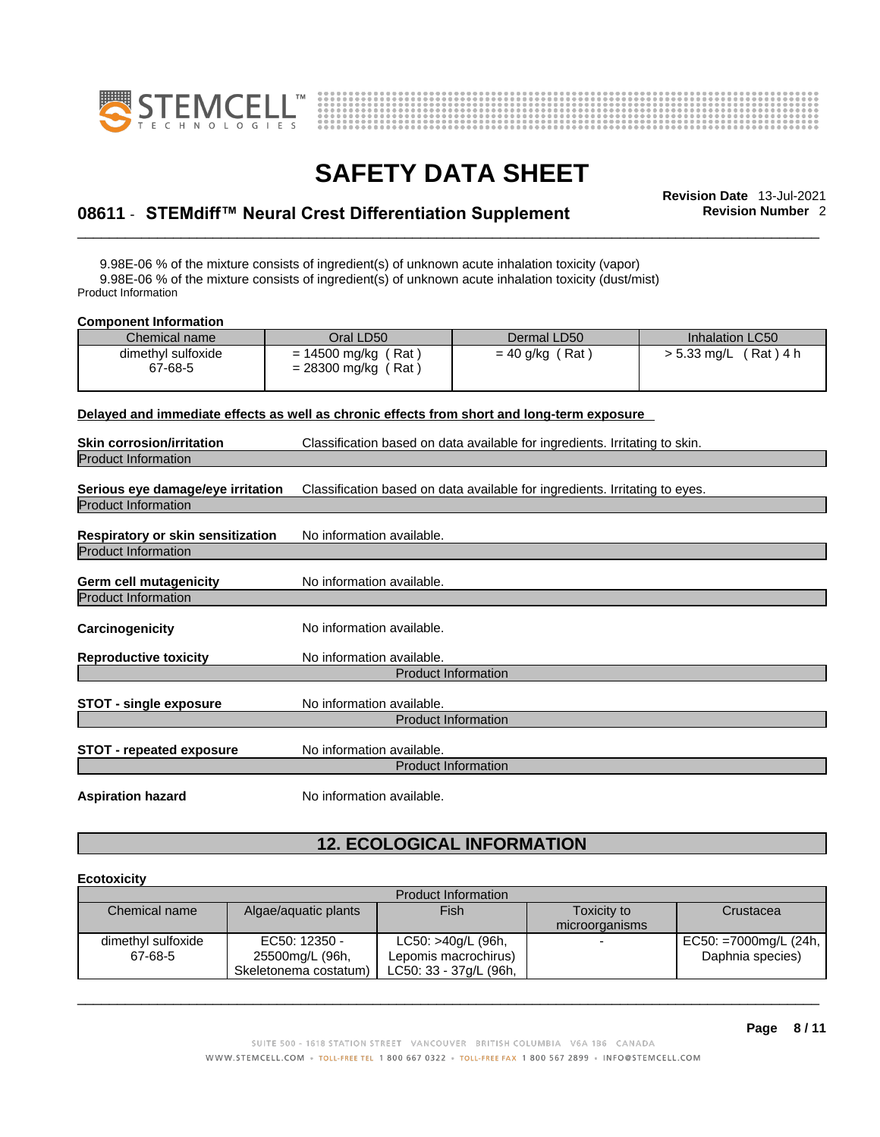



# \_\_\_\_\_\_\_\_\_\_\_\_\_\_\_\_\_\_\_\_\_\_\_\_\_\_\_\_\_\_\_\_\_\_\_\_\_\_\_\_\_\_\_\_\_\_\_\_\_\_\_\_\_\_\_\_\_\_\_\_\_\_\_\_\_\_\_\_\_\_\_\_\_\_\_\_\_\_\_\_\_\_\_\_\_\_\_\_\_\_\_\_\_ **Revision Date** 13-Jul-2021 **08611** - **STEMdiff™ Neural Crest Differentiation Supplement Revision Number** 2

9.98E-06 % of the mixture consists of ingredient(s) of unknown acute inhalation toxicity (vapor) 9.98E-06 % of the mixture consists of ingredient(s) of unknown acute inhalation toxicity (dust/mist) Product Information

| <b>Component Information</b>                                                               |                                                |                                                                             |                         |  |
|--------------------------------------------------------------------------------------------|------------------------------------------------|-----------------------------------------------------------------------------|-------------------------|--|
| Chemical name                                                                              | Oral LD50                                      | Dermal LD50                                                                 | Inhalation LC50         |  |
| dimethyl sulfoxide<br>67-68-5                                                              | $= 14500$ mg/kg (Rat)<br>$= 28300$ mg/kg (Rat) | $= 40$ g/kg (Rat)                                                           | $> 5.33$ mg/L (Rat) 4 h |  |
| Delayed and immediate effects as well as chronic effects from short and long-term exposure |                                                |                                                                             |                         |  |
| <b>Skin corrosion/irritation</b>                                                           |                                                | Classification based on data available for ingredients. Irritating to skin. |                         |  |
| <b>Product Information</b>                                                                 |                                                |                                                                             |                         |  |
| Serious eye damage/eye irritation<br><b>Product Information</b>                            |                                                | Classification based on data available for ingredients. Irritating to eyes. |                         |  |
| Respiratory or skin sensitization<br><b>Product Information</b>                            | No information available.                      |                                                                             |                         |  |
| <b>Germ cell mutagenicity</b><br><b>Product Information</b>                                | No information available.                      |                                                                             |                         |  |
| Carcinogenicity                                                                            | No information available.                      |                                                                             |                         |  |
| <b>Reproductive toxicity</b>                                                               | No information available.                      |                                                                             |                         |  |
|                                                                                            |                                                | <b>Product Information</b>                                                  |                         |  |
| <b>STOT - single exposure</b>                                                              | No information available.                      | <b>Product Information</b>                                                  |                         |  |
| <b>STOT - repeated exposure</b>                                                            | No information available.                      | <b>Product Information</b>                                                  |                         |  |

**Aspiration hazard** No information available.

# **12. ECOLOGICAL INFORMATION**

## **Ecotoxicity**

| <b>Product Information</b> |                       |                        |                          |                       |
|----------------------------|-----------------------|------------------------|--------------------------|-----------------------|
| Chemical name              | Algae/aquatic plants  | <b>Fish</b>            | Toxicity to              | Crustacea             |
|                            |                       |                        | microorganisms           |                       |
| dimethyl sulfoxide         | EC50: 12350 -         | LC50: >40g/L (96h,     | $\overline{\phantom{0}}$ | EC50: =7000mg/L (24h, |
| 67-68-5                    | 25500mg/L (96h,       | Lepomis macrochirus)   |                          | Daphnia species)      |
|                            | Skeletonema costatum) | LC50: 33 - 37g/L (96h, |                          |                       |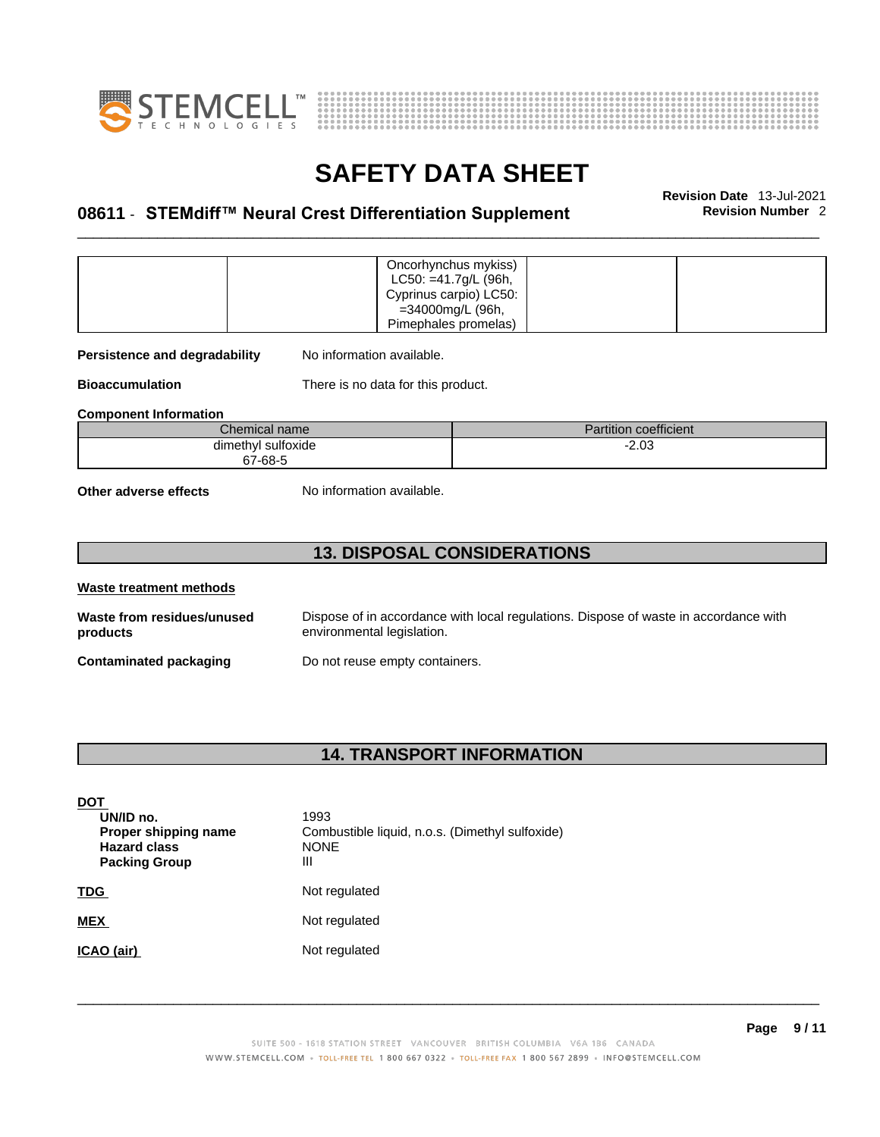



# \_\_\_\_\_\_\_\_\_\_\_\_\_\_\_\_\_\_\_\_\_\_\_\_\_\_\_\_\_\_\_\_\_\_\_\_\_\_\_\_\_\_\_\_\_\_\_\_\_\_\_\_\_\_\_\_\_\_\_\_\_\_\_\_\_\_\_\_\_\_\_\_\_\_\_\_\_\_\_\_\_\_\_\_\_\_\_\_\_\_\_\_\_ **Revision Date** 13-Jul-2021 **08611** - **STEMdiff™ Neural Crest Differentiation Supplement Revision Number** 2

|                                                            | Oncorhynchus mykiss)<br>LC50: =41.7g/L (96h,<br>Cyprinus carpio) LC50:<br>=34000mg/L (96h,<br>Pimephales promelas) |  |  |  |
|------------------------------------------------------------|--------------------------------------------------------------------------------------------------------------------|--|--|--|
| No information available.<br>Persistence and degradability |                                                                                                                    |  |  |  |
| <b>Bioaccumulation</b>                                     | There is no data for this product.                                                                                 |  |  |  |
| <b>Component Information</b>                               |                                                                                                                    |  |  |  |
| Chemical name<br><b>Partition coefficient</b>              |                                                                                                                    |  |  |  |
| dimethyl sulfoxide<br>$-2.03$<br>67-68-5                   |                                                                                                                    |  |  |  |
| No information available.<br>Other adverse effects         |                                                                                                                    |  |  |  |
| <b>13. DISPOSAL CONSIDERATIONS</b>                         |                                                                                                                    |  |  |  |

| Waste treatment methods                |                                                                                                                    |
|----------------------------------------|--------------------------------------------------------------------------------------------------------------------|
| Waste from residues/unused<br>products | Dispose of in accordance with local regulations. Dispose of waste in accordance with<br>environmental legislation. |
| Contaminated packaging                 | Do not reuse empty containers.                                                                                     |

# **14. TRANSPORT INFORMATION**

| <b>DOT</b><br>UN/ID no.<br>Proper shipping name<br><b>Hazard class</b><br><b>Packing Group</b> | 1993<br>Combustible liquid, n.o.s. (Dimethyl sulfoxide)<br><b>NONE</b><br>Ш |
|------------------------------------------------------------------------------------------------|-----------------------------------------------------------------------------|
| <b>TDG</b>                                                                                     | Not regulated                                                               |
| <b>MEX</b>                                                                                     | Not regulated                                                               |
| ICAO (air)                                                                                     | Not regulated                                                               |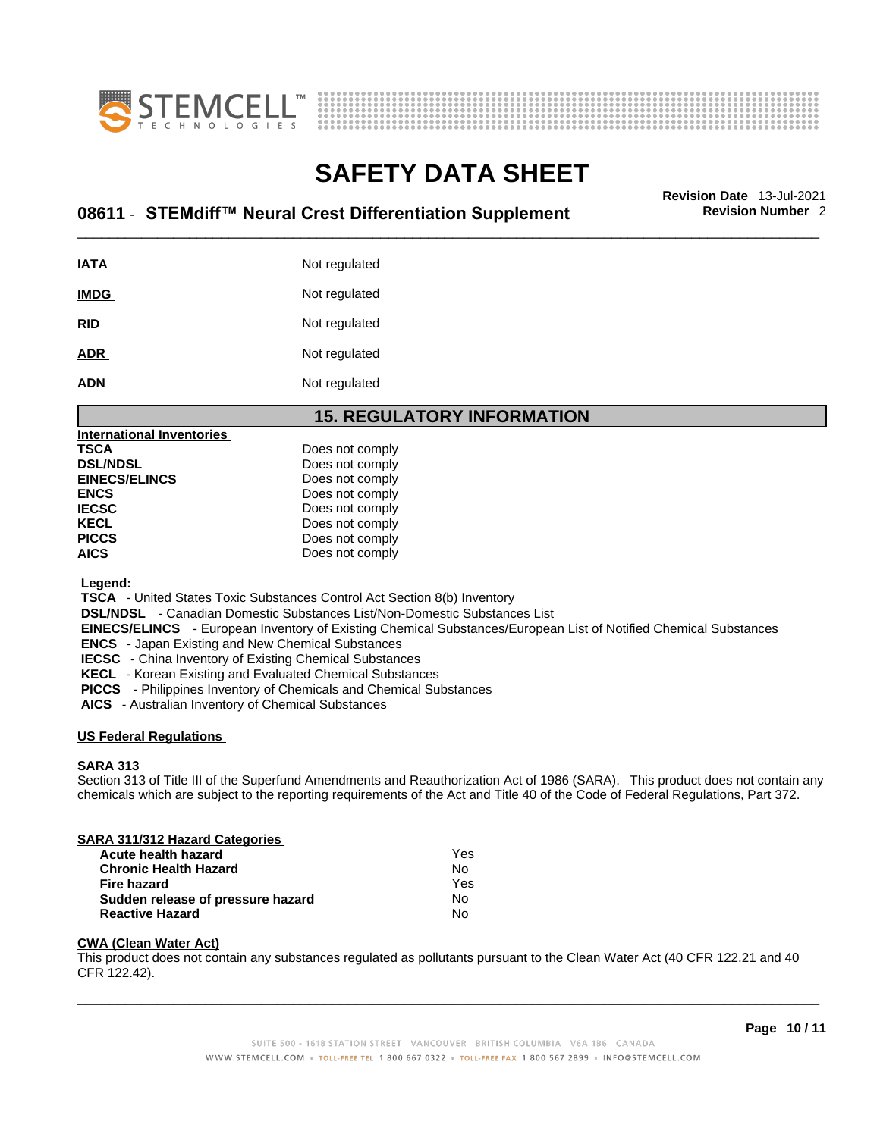



# \_\_\_\_\_\_\_\_\_\_\_\_\_\_\_\_\_\_\_\_\_\_\_\_\_\_\_\_\_\_\_\_\_\_\_\_\_\_\_\_\_\_\_\_\_\_\_\_\_\_\_\_\_\_\_\_\_\_\_\_\_\_\_\_\_\_\_\_\_\_\_\_\_\_\_\_\_\_\_\_\_\_\_\_\_\_\_\_\_\_\_\_\_ **Revision Date** 13-Jul-2021 **08611** - **STEMdiff™ Neural Crest Differentiation Supplement Revision Number** 2

| <u>IATA</u> | Not regulated |
|-------------|---------------|
| <b>IMDG</b> | Not regulated |
| <u>RID</u>  | Not regulated |
| <b>ADR</b>  | Not regulated |
| <b>ADN</b>  | Not regulated |

## **15. REGULATORY INFORMATION**

| International Inventories |                 |  |
|---------------------------|-----------------|--|
| TSCA                      | Does not comply |  |
| <b>DSL/NDSL</b>           | Does not comply |  |
| <b>EINECS/ELINCS</b>      | Does not comply |  |
| ENCS                      | Does not comply |  |
| <b>IECSC</b>              | Does not comply |  |
| KECL                      | Does not comply |  |
| PICCS                     | Does not comply |  |
| AICS                      | Does not comply |  |
|                           |                 |  |

 **Legend:** 

 **TSCA** - United States Toxic Substances Control Act Section 8(b) Inventory

 **DSL/NDSL** - Canadian Domestic Substances List/Non-Domestic Substances List

 **EINECS/ELINCS** - European Inventory of Existing Chemical Substances/European List of Notified Chemical Substances

 **ENCS** - Japan Existing and New Chemical Substances

 **IECSC** - China Inventory of Existing Chemical Substances

 **KECL** - Korean Existing and Evaluated Chemical Substances

 **PICCS** - Philippines Inventory of Chemicals and Chemical Substances

 **AICS** - Australian Inventory of Chemical Substances

## **US Federal Regulations**

## **SARA 313**

Section 313 of Title III of the Superfund Amendments and Reauthorization Act of 1986 (SARA). This product does not contain any chemicals which are subject to the reporting requirements of the Act and Title 40 of the Code of Federal Regulations, Part 372.

| SARA 311/312 Hazard Categories    |     |  |
|-----------------------------------|-----|--|
| Acute health hazard               | Yes |  |
| <b>Chronic Health Hazard</b>      | No  |  |
| <b>Fire hazard</b>                | Yes |  |
| Sudden release of pressure hazard | Nο  |  |
| <b>Reactive Hazard</b>            | No  |  |

## **CWA (Clean WaterAct)**

This product does not contain any substances regulated as pollutants pursuant to the Clean Water Act (40 CFR 122.21 and 40 CFR 122.42).